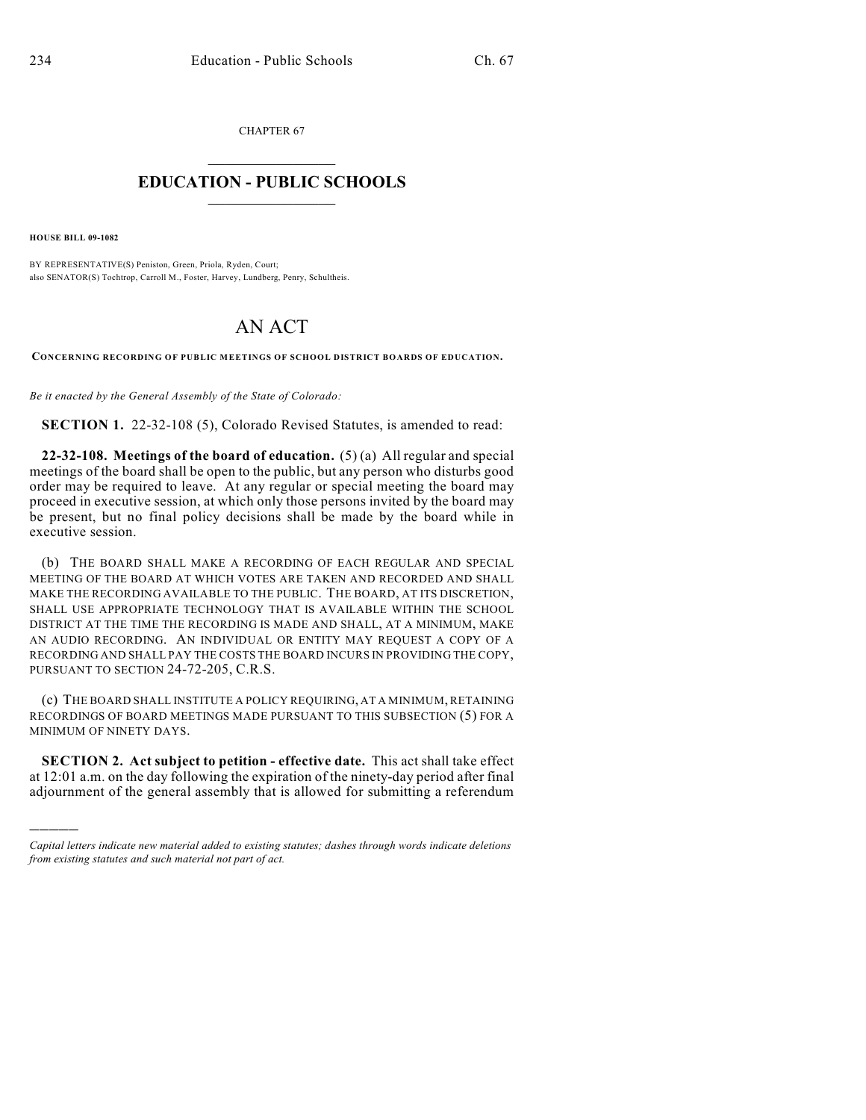CHAPTER 67  $\overline{\phantom{a}}$  . The set of the set of the set of the set of the set of the set of the set of the set of the set of the set of the set of the set of the set of the set of the set of the set of the set of the set of the set o

## **EDUCATION - PUBLIC SCHOOLS**  $\_$   $\_$   $\_$   $\_$   $\_$   $\_$   $\_$   $\_$   $\_$

**HOUSE BILL 09-1082**

)))))

BY REPRESENTATIVE(S) Peniston, Green, Priola, Ryden, Court; also SENATOR(S) Tochtrop, Carroll M., Foster, Harvey, Lundberg, Penry, Schultheis.

## AN ACT

**CONCERNING RECORDING OF PUBLIC MEETINGS OF SCHOOL DISTRICT BOARDS OF EDUCATION.**

*Be it enacted by the General Assembly of the State of Colorado:*

**SECTION 1.** 22-32-108 (5), Colorado Revised Statutes, is amended to read:

**22-32-108. Meetings of the board of education.** (5) (a) All regular and special meetings of the board shall be open to the public, but any person who disturbs good order may be required to leave. At any regular or special meeting the board may proceed in executive session, at which only those persons invited by the board may be present, but no final policy decisions shall be made by the board while in executive session.

(b) THE BOARD SHALL MAKE A RECORDING OF EACH REGULAR AND SPECIAL MEETING OF THE BOARD AT WHICH VOTES ARE TAKEN AND RECORDED AND SHALL MAKE THE RECORDING AVAILABLE TO THE PUBLIC. THE BOARD, AT ITS DISCRETION, SHALL USE APPROPRIATE TECHNOLOGY THAT IS AVAILABLE WITHIN THE SCHOOL DISTRICT AT THE TIME THE RECORDING IS MADE AND SHALL, AT A MINIMUM, MAKE AN AUDIO RECORDING. AN INDIVIDUAL OR ENTITY MAY REQUEST A COPY OF A RECORDING AND SHALL PAY THE COSTS THE BOARD INCURS IN PROVIDING THE COPY, PURSUANT TO SECTION 24-72-205, C.R.S.

(c) THE BOARD SHALL INSTITUTE A POLICY REQUIRING, AT A MINIMUM, RETAINING RECORDINGS OF BOARD MEETINGS MADE PURSUANT TO THIS SUBSECTION (5) FOR A MINIMUM OF NINETY DAYS.

**SECTION 2. Act subject to petition - effective date.** This act shall take effect at 12:01 a.m. on the day following the expiration of the ninety-day period after final adjournment of the general assembly that is allowed for submitting a referendum

*Capital letters indicate new material added to existing statutes; dashes through words indicate deletions from existing statutes and such material not part of act.*